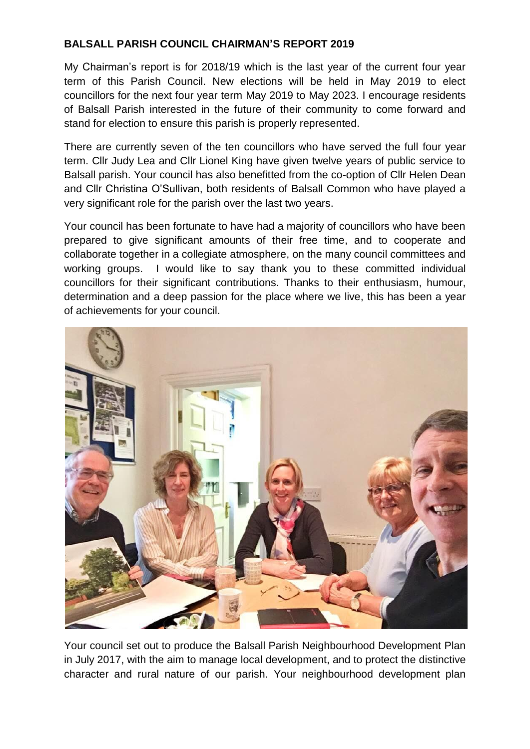## **BALSALL PARISH COUNCIL CHAIRMAN'S REPORT 2019**

My Chairman's report is for 2018/19 which is the last year of the current four year term of this Parish Council. New elections will be held in May 2019 to elect councillors for the next four year term May 2019 to May 2023. I encourage residents of Balsall Parish interested in the future of their community to come forward and stand for election to ensure this parish is properly represented.

There are currently seven of the ten councillors who have served the full four year term. Cllr Judy Lea and Cllr Lionel King have given twelve years of public service to Balsall parish. Your council has also benefitted from the co-option of Cllr Helen Dean and Cllr Christina O'Sullivan, both residents of Balsall Common who have played a very significant role for the parish over the last two years.

Your council has been fortunate to have had a majority of councillors who have been prepared to give significant amounts of their free time, and to cooperate and collaborate together in a collegiate atmosphere, on the many council committees and working groups. I would like to say thank you to these committed individual councillors for their significant contributions. Thanks to their enthusiasm, humour, determination and a deep passion for the place where we live, this has been a year of achievements for your council.



Your council set out to produce the Balsall Parish Neighbourhood Development Plan in July 2017, with the aim to manage local development, and to protect the distinctive character and rural nature of our parish. Your neighbourhood development plan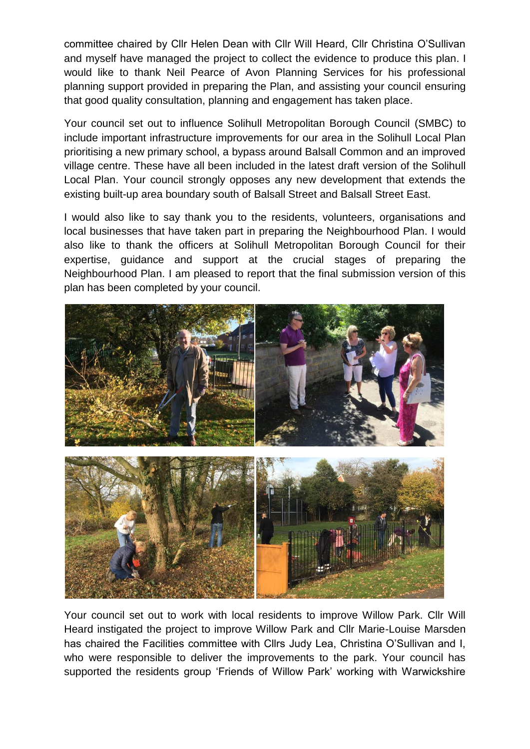committee chaired by Cllr Helen Dean with Cllr Will Heard, Cllr Christina O'Sullivan and myself have managed the project to collect the evidence to produce this plan. I would like to thank Neil Pearce of Avon Planning Services for his professional planning support provided in preparing the Plan, and assisting your council ensuring that good quality consultation, planning and engagement has taken place.

Your council set out to influence Solihull Metropolitan Borough Council (SMBC) to include important infrastructure improvements for our area in the Solihull Local Plan prioritising a new primary school, a bypass around Balsall Common and an improved village centre. These have all been included in the latest draft version of the Solihull Local Plan. Your council strongly opposes any new development that extends the existing built-up area boundary south of Balsall Street and Balsall Street East.

I would also like to say thank you to the residents, volunteers, organisations and local businesses that have taken part in preparing the Neighbourhood Plan. I would also like to thank the officers at Solihull Metropolitan Borough Council for their expertise, guidance and support at the crucial stages of preparing the Neighbourhood Plan. I am pleased to report that the final submission version of this plan has been completed by your council.



Your council set out to work with local residents to improve Willow Park. Cllr Will Heard instigated the project to improve Willow Park and Cllr Marie-Louise Marsden has chaired the Facilities committee with Cllrs Judy Lea, Christina O'Sullivan and I, who were responsible to deliver the improvements to the park. Your council has supported the residents group 'Friends of Willow Park' working with Warwickshire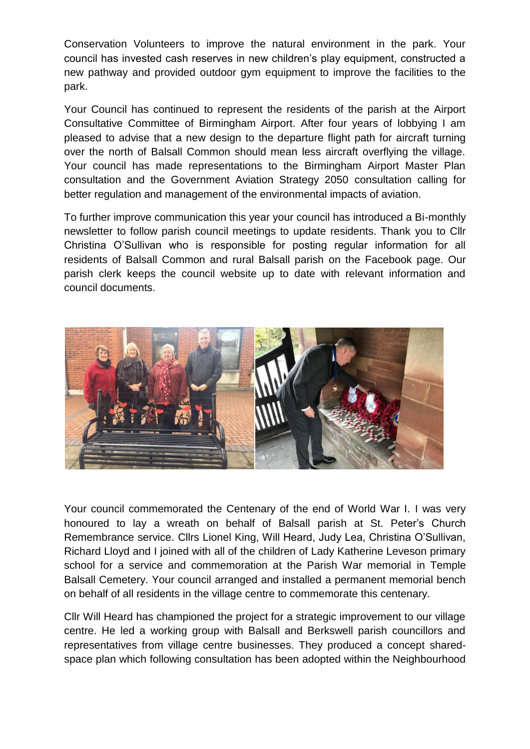Conservation Volunteers to improve the natural environment in the park. Your council has invested cash reserves in new children's play equipment, constructed a new pathway and provided outdoor gym equipment to improve the facilities to the park.

Your Council has continued to represent the residents of the parish at the Airport Consultative Committee of Birmingham Airport. After four years of lobbying I am pleased to advise that a new design to the departure flight path for aircraft turning over the north of Balsall Common should mean less aircraft overflying the village. Your council has made representations to the Birmingham Airport Master Plan consultation and the Government Aviation Strategy 2050 consultation calling for better regulation and management of the environmental impacts of aviation.

To further improve communication this year your council has introduced a Bi-monthly newsletter to follow parish council meetings to update residents. Thank you to Cllr Christina O'Sullivan who is responsible for posting regular information for all residents of Balsall Common and rural Balsall parish on the Facebook page. Our parish clerk keeps the council website up to date with relevant information and council documents.



Your council commemorated the Centenary of the end of World War I. I was very honoured to lay a wreath on behalf of Balsall parish at St. Peter's Church Remembrance service. Cllrs Lionel King, Will Heard, Judy Lea, Christina O'Sullivan, Richard Lloyd and I joined with all of the children of Lady Katherine Leveson primary school for a service and commemoration at the Parish War memorial in Temple Balsall Cemetery. Your council arranged and installed a permanent memorial bench on behalf of all residents in the village centre to commemorate this centenary.

Cllr Will Heard has championed the project for a strategic improvement to our village centre. He led a working group with Balsall and Berkswell parish councillors and representatives from village centre businesses. They produced a concept sharedspace plan which following consultation has been adopted within the Neighbourhood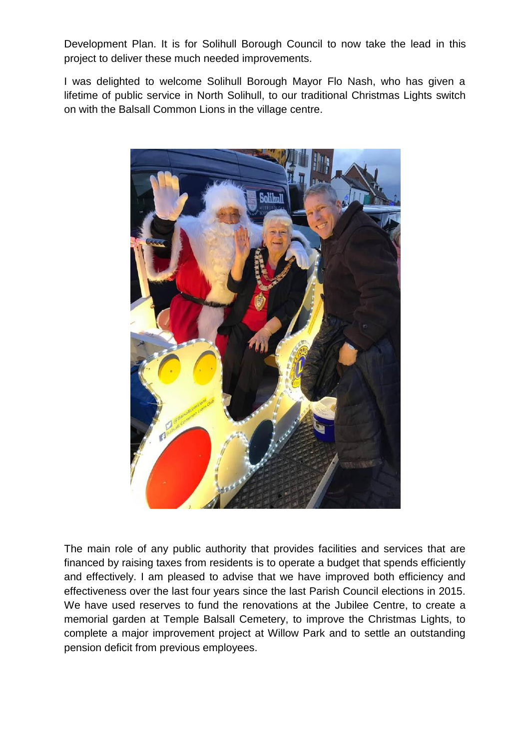Development Plan. It is for Solihull Borough Council to now take the lead in this project to deliver these much needed improvements.

I was delighted to welcome Solihull Borough Mayor Flo Nash, who has given a lifetime of public service in North Solihull, to our traditional Christmas Lights switch on with the Balsall Common Lions in the village centre.



The main role of any public authority that provides facilities and services that are financed by raising taxes from residents is to operate a budget that spends efficiently and effectively. I am pleased to advise that we have improved both efficiency and effectiveness over the last four years since the last Parish Council elections in 2015. We have used reserves to fund the renovations at the Jubilee Centre, to create a memorial garden at Temple Balsall Cemetery, to improve the Christmas Lights, to complete a major improvement project at Willow Park and to settle an outstanding pension deficit from previous employees.